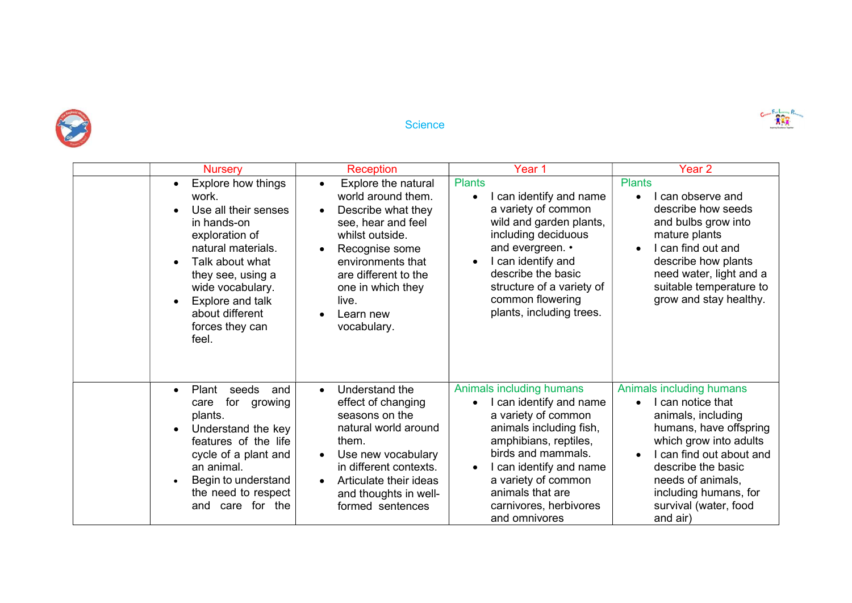

## **Science**

| <b>Nursery</b>                                                                                                                                                                                                                                         | Reception                                                                                                                                                                                                                                                                | Year 1                                                                                                                                                                                                                                                                                   | Year 2                                                                                                                                                                                                                                                     |
|--------------------------------------------------------------------------------------------------------------------------------------------------------------------------------------------------------------------------------------------------------|--------------------------------------------------------------------------------------------------------------------------------------------------------------------------------------------------------------------------------------------------------------------------|------------------------------------------------------------------------------------------------------------------------------------------------------------------------------------------------------------------------------------------------------------------------------------------|------------------------------------------------------------------------------------------------------------------------------------------------------------------------------------------------------------------------------------------------------------|
| Explore how things<br>work.<br>Use all their senses<br>in hands-on<br>exploration of<br>natural materials.<br>Talk about what<br>$\bullet$<br>they see, using a<br>wide vocabulary.<br>Explore and talk<br>about different<br>forces they can<br>feel. | Explore the natural<br>$\bullet$<br>world around them.<br>Describe what they<br>$\bullet$<br>see, hear and feel<br>whilst outside.<br>Recognise some<br>environments that<br>are different to the<br>one in which they<br>live.<br>Learn new<br>$\bullet$<br>vocabulary. | <b>Plants</b><br>I can identify and name<br>$\bullet$<br>a variety of common<br>wild and garden plants,<br>including deciduous<br>and evergreen. •<br>I can identify and<br>$\bullet$<br>describe the basic<br>structure of a variety of<br>common flowering<br>plants, including trees. | <b>Plants</b><br>I can observe and<br>describe how seeds<br>and bulbs grow into<br>mature plants<br>I can find out and<br>describe how plants<br>need water, light and a<br>suitable temperature to<br>grow and stay healthy.                              |
| Plant<br>seeds<br>$\bullet$<br>for<br>growing<br>care<br>plants.<br>Understand the key<br>features of the life<br>cycle of a plant and<br>an animal.<br>Begin to understand<br>the need to respect<br>care for the<br>and                              | Understand the<br>and<br>$\bullet$<br>effect of changing<br>seasons on the<br>natural world around<br>them.<br>Use new vocabulary<br>$\bullet$<br>in different contexts.<br>Articulate their ideas<br>$\bullet$<br>and thoughts in well-<br>formed sentences             | Animals including humans<br>I can identify and name<br>a variety of common<br>animals including fish,<br>amphibians, reptiles,<br>birds and mammals.<br>I can identify and name<br>$\bullet$<br>a variety of common<br>animals that are<br>carnivores, herbivores<br>and omnivores       | Animals including humans<br>can notice that<br>animals, including<br>humans, have offspring<br>which grow into adults<br>I can find out about and<br>describe the basic<br>needs of animals,<br>including humans, for<br>survival (water, food<br>and air) |

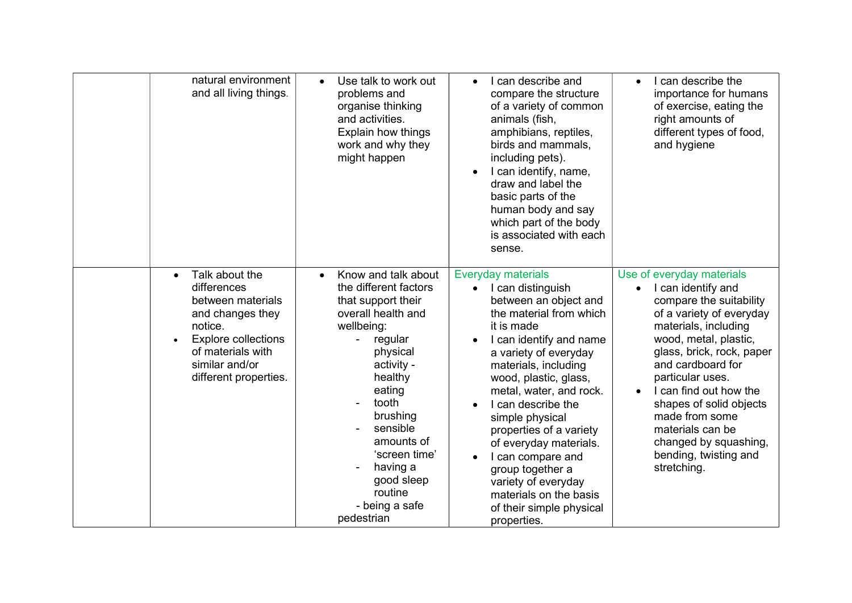| natural environment<br>and all living things.                                                                                                                                                | Use talk to work out<br>problems and<br>organise thinking<br>and activities.<br>Explain how things<br>work and why they<br>might happen                                                                                                                                                                            | I can describe and<br>$\bullet$<br>compare the structure<br>of a variety of common<br>animals (fish,<br>amphibians, reptiles,<br>birds and mammals,<br>including pets).<br>I can identify, name,<br>$\bullet$<br>draw and label the<br>basic parts of the<br>human body and say<br>which part of the body<br>is associated with each<br>sense.                                                                                                                                                                             | I can describe the<br>importance for humans<br>of exercise, eating the<br>right amounts of<br>different types of food,<br>and hygiene                                                                                                                                                                                                                                                     |
|----------------------------------------------------------------------------------------------------------------------------------------------------------------------------------------------|--------------------------------------------------------------------------------------------------------------------------------------------------------------------------------------------------------------------------------------------------------------------------------------------------------------------|----------------------------------------------------------------------------------------------------------------------------------------------------------------------------------------------------------------------------------------------------------------------------------------------------------------------------------------------------------------------------------------------------------------------------------------------------------------------------------------------------------------------------|-------------------------------------------------------------------------------------------------------------------------------------------------------------------------------------------------------------------------------------------------------------------------------------------------------------------------------------------------------------------------------------------|
| Talk about the<br>$\bullet$<br>differences<br>between materials<br>and changes they<br>notice.<br><b>Explore collections</b><br>of materials with<br>similar and/or<br>different properties. | Know and talk about<br>$\bullet$<br>the different factors<br>that support their<br>overall health and<br>wellbeing:<br>regular<br>physical<br>activity -<br>healthy<br>eating<br>tooth<br>brushing<br>sensible<br>amounts of<br>'screen time'<br>having a<br>good sleep<br>routine<br>- being a safe<br>pedestrian | <b>Everyday materials</b><br>I can distinguish<br>$\bullet$<br>between an object and<br>the material from which<br>it is made<br>I can identify and name<br>a variety of everyday<br>materials, including<br>wood, plastic, glass,<br>metal, water, and rock.<br>I can describe the<br>$\bullet$<br>simple physical<br>properties of a variety<br>of everyday materials.<br>I can compare and<br>$\bullet$<br>group together a<br>variety of everyday<br>materials on the basis<br>of their simple physical<br>properties. | Use of everyday materials<br>I can identify and<br>compare the suitability<br>of a variety of everyday<br>materials, including<br>wood, metal, plastic,<br>glass, brick, rock, paper<br>and cardboard for<br>particular uses.<br>I can find out how the<br>shapes of solid objects<br>made from some<br>materials can be<br>changed by squashing,<br>bending, twisting and<br>stretching. |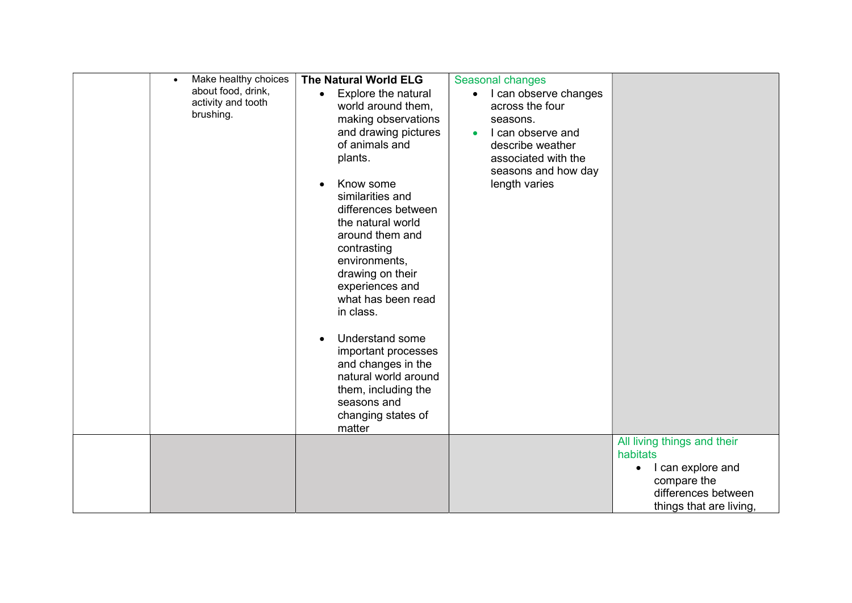| Make healthy choices<br>about food, drink,<br>activity and tooth<br>brushing. | <b>The Natural World ELG</b><br>Explore the natural<br>$\bullet$<br>world around them,<br>making observations<br>and drawing pictures<br>of animals and<br>plants.<br>Know some<br>similarities and<br>differences between<br>the natural world<br>around them and<br>contrasting<br>environments,<br>drawing on their<br>experiences and<br>what has been read<br>in class.<br>Understand some<br>important processes<br>and changes in the<br>natural world around<br>them, including the<br>seasons and<br>changing states of<br>matter | Seasonal changes<br>I can observe changes<br>$\bullet$<br>across the four<br>seasons.<br>I can observe and<br>$\bullet$<br>describe weather<br>associated with the<br>seasons and how day<br>length varies |                                                                                                                                            |
|-------------------------------------------------------------------------------|--------------------------------------------------------------------------------------------------------------------------------------------------------------------------------------------------------------------------------------------------------------------------------------------------------------------------------------------------------------------------------------------------------------------------------------------------------------------------------------------------------------------------------------------|------------------------------------------------------------------------------------------------------------------------------------------------------------------------------------------------------------|--------------------------------------------------------------------------------------------------------------------------------------------|
|                                                                               |                                                                                                                                                                                                                                                                                                                                                                                                                                                                                                                                            |                                                                                                                                                                                                            | All living things and their<br>habitats<br>I can explore and<br>$\bullet$<br>compare the<br>differences between<br>things that are living, |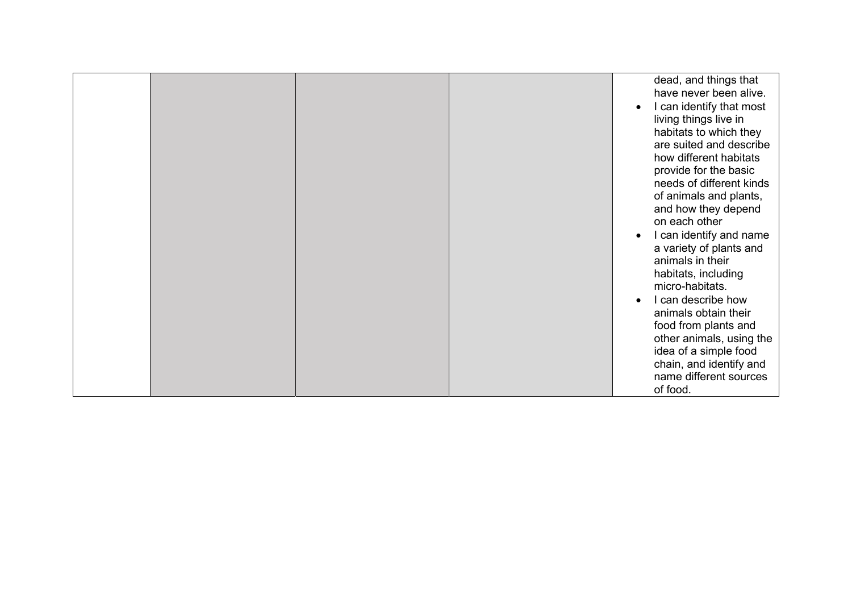|  |  | dead, and things that    |
|--|--|--------------------------|
|  |  | have never been alive.   |
|  |  | I can identify that most |
|  |  | living things live in    |
|  |  | habitats to which they   |
|  |  | are suited and describe  |
|  |  | how different habitats   |
|  |  |                          |
|  |  | provide for the basic    |
|  |  | needs of different kinds |
|  |  | of animals and plants,   |
|  |  | and how they depend      |
|  |  | on each other            |
|  |  | I can identify and name  |
|  |  | a variety of plants and  |
|  |  | animals in their         |
|  |  |                          |
|  |  | habitats, including      |
|  |  | micro-habitats.          |
|  |  | I can describe how       |
|  |  | animals obtain their     |
|  |  | food from plants and     |
|  |  | other animals, using the |
|  |  | idea of a simple food    |
|  |  | chain, and identify and  |
|  |  | name different sources   |
|  |  |                          |
|  |  | of food.                 |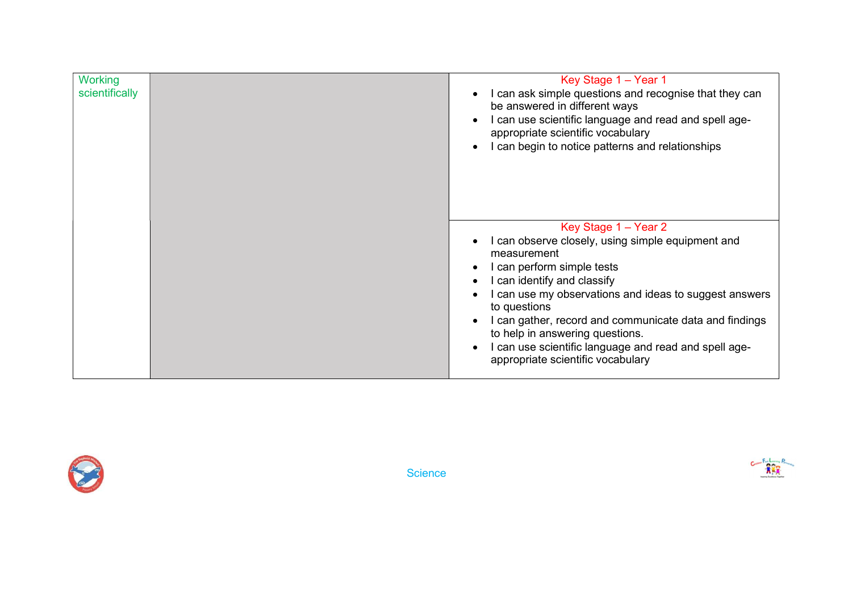| <b>Working</b><br>scientifically | Key Stage 1 - Year 1<br>can ask simple questions and recognise that they can<br>be answered in different ways<br>I can use scientific language and read and spell age-<br>appropriate scientific vocabulary<br>can begin to notice patterns and relationships<br>$\bullet$                                                                                                                                             |
|----------------------------------|------------------------------------------------------------------------------------------------------------------------------------------------------------------------------------------------------------------------------------------------------------------------------------------------------------------------------------------------------------------------------------------------------------------------|
|                                  | Key Stage 1 - Year 2<br>can observe closely, using simple equipment and<br>measurement<br>I can perform simple tests<br>can identify and classify<br>I can use my observations and ideas to suggest answers<br>to questions<br>I can gather, record and communicate data and findings<br>to help in answering questions.<br>I can use scientific language and read and spell age-<br>appropriate scientific vocabulary |



**Science** 

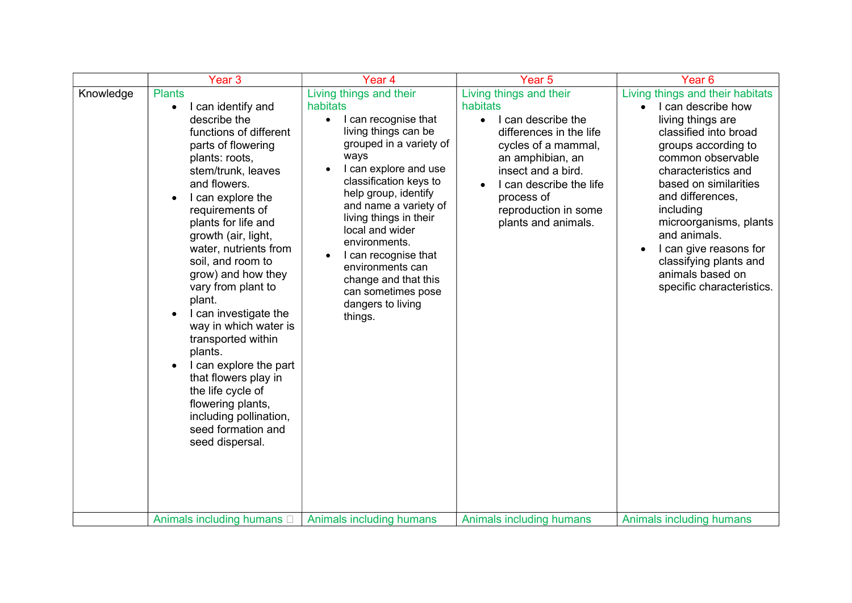|           | Year <sub>3</sub>                                                                                                                                                                                                                                                                                                                                                                                                                                                                                                                                                                                                                                           | Year <sub>4</sub>                                                                                                                                                                                                                                                                                                                                                                                                  | Year <sub>5</sub>                                                                                                                                                                                                                             | Year <sub>6</sub>                                                                                                                                                                                                                                                                                                                                                                                          |
|-----------|-------------------------------------------------------------------------------------------------------------------------------------------------------------------------------------------------------------------------------------------------------------------------------------------------------------------------------------------------------------------------------------------------------------------------------------------------------------------------------------------------------------------------------------------------------------------------------------------------------------------------------------------------------------|--------------------------------------------------------------------------------------------------------------------------------------------------------------------------------------------------------------------------------------------------------------------------------------------------------------------------------------------------------------------------------------------------------------------|-----------------------------------------------------------------------------------------------------------------------------------------------------------------------------------------------------------------------------------------------|------------------------------------------------------------------------------------------------------------------------------------------------------------------------------------------------------------------------------------------------------------------------------------------------------------------------------------------------------------------------------------------------------------|
| Knowledge | <b>Plants</b><br>I can identify and<br>$\bullet$<br>describe the<br>functions of different<br>parts of flowering<br>plants: roots,<br>stem/trunk, leaves<br>and flowers.<br>I can explore the<br>$\bullet$<br>requirements of<br>plants for life and<br>growth (air, light,<br>water, nutrients from<br>soil, and room to<br>grow) and how they<br>vary from plant to<br>plant.<br>I can investigate the<br>$\bullet$<br>way in which water is<br>transported within<br>plants.<br>I can explore the part<br>$\bullet$<br>that flowers play in<br>the life cycle of<br>flowering plants,<br>including pollination,<br>seed formation and<br>seed dispersal. | Living things and their<br>habitats<br>I can recognise that<br>living things can be<br>grouped in a variety of<br>ways<br>I can explore and use<br>classification keys to<br>help group, identify<br>and name a variety of<br>living things in their<br>local and wider<br>environments.<br>I can recognise that<br>environments can<br>change and that this<br>can sometimes pose<br>dangers to living<br>things. | Living things and their<br>habitats<br>I can describe the<br>differences in the life<br>cycles of a mammal,<br>an amphibian, an<br>insect and a bird.<br>I can describe the life<br>process of<br>reproduction in some<br>plants and animals. | Living things and their habitats<br>I can describe how<br>$\bullet$<br>living things are<br>classified into broad<br>groups according to<br>common observable<br>characteristics and<br>based on similarities<br>and differences,<br>including<br>microorganisms, plants<br>and animals.<br>I can give reasons for<br>$\bullet$<br>classifying plants and<br>animals based on<br>specific characteristics. |
|           | Animals including humans $\square$                                                                                                                                                                                                                                                                                                                                                                                                                                                                                                                                                                                                                          | Animals including humans                                                                                                                                                                                                                                                                                                                                                                                           | Animals including humans                                                                                                                                                                                                                      | Animals including humans                                                                                                                                                                                                                                                                                                                                                                                   |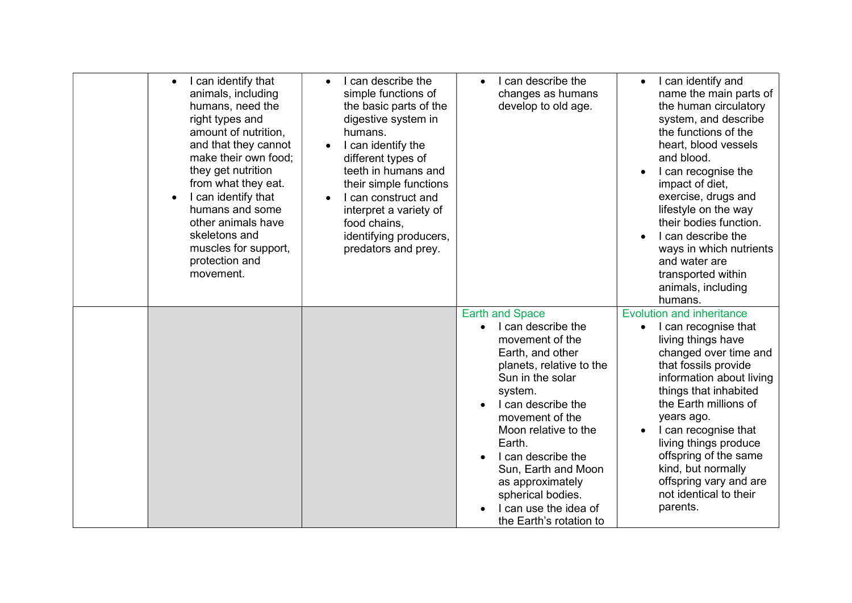| I can identify that<br>$\bullet$<br>animals, including<br>humans, need the<br>right types and<br>amount of nutrition,<br>and that they cannot<br>make their own food;<br>they get nutrition<br>from what they eat.<br>I can identify that<br>humans and some<br>other animals have<br>skeletons and<br>muscles for support,<br>protection and<br>movement. | I can describe the<br>simple functions of<br>the basic parts of the<br>digestive system in<br>humans.<br>I can identify the<br>different types of<br>teeth in humans and<br>their simple functions<br>I can construct and<br>interpret a variety of<br>food chains,<br>identifying producers,<br>predators and prey. | I can describe the<br>changes as humans<br>develop to old age.                                                                                                                                                                                                  | I can identify and<br>name the main parts of<br>the human circulatory<br>system, and describe<br>the functions of the<br>heart, blood vessels<br>and blood.<br>I can recognise the<br>impact of diet,<br>exercise, drugs and<br>lifestyle on the way<br>their bodies function.<br>I can describe the<br>ways in which nutrients<br>and water are<br>transported within<br>animals, including<br>humans. |
|------------------------------------------------------------------------------------------------------------------------------------------------------------------------------------------------------------------------------------------------------------------------------------------------------------------------------------------------------------|----------------------------------------------------------------------------------------------------------------------------------------------------------------------------------------------------------------------------------------------------------------------------------------------------------------------|-----------------------------------------------------------------------------------------------------------------------------------------------------------------------------------------------------------------------------------------------------------------|---------------------------------------------------------------------------------------------------------------------------------------------------------------------------------------------------------------------------------------------------------------------------------------------------------------------------------------------------------------------------------------------------------|
|                                                                                                                                                                                                                                                                                                                                                            |                                                                                                                                                                                                                                                                                                                      | <b>Earth and Space</b><br>I can describe the                                                                                                                                                                                                                    | <b>Evolution and inheritance</b><br>I can recognise that                                                                                                                                                                                                                                                                                                                                                |
|                                                                                                                                                                                                                                                                                                                                                            |                                                                                                                                                                                                                                                                                                                      | movement of the<br>Earth, and other<br>planets, relative to the<br>Sun in the solar<br>system.<br>I can describe the<br>movement of the<br>Moon relative to the<br>Earth.<br>I can describe the<br>Sun, Earth and Moon<br>as approximately<br>spherical bodies. | living things have<br>changed over time and<br>that fossils provide<br>information about living<br>things that inhabited<br>the Earth millions of<br>years ago.<br>I can recognise that<br>living things produce<br>offspring of the same<br>kind, but normally<br>offspring vary and are<br>not identical to their                                                                                     |
|                                                                                                                                                                                                                                                                                                                                                            |                                                                                                                                                                                                                                                                                                                      | I can use the idea of<br>the Earth's rotation to                                                                                                                                                                                                                | parents.                                                                                                                                                                                                                                                                                                                                                                                                |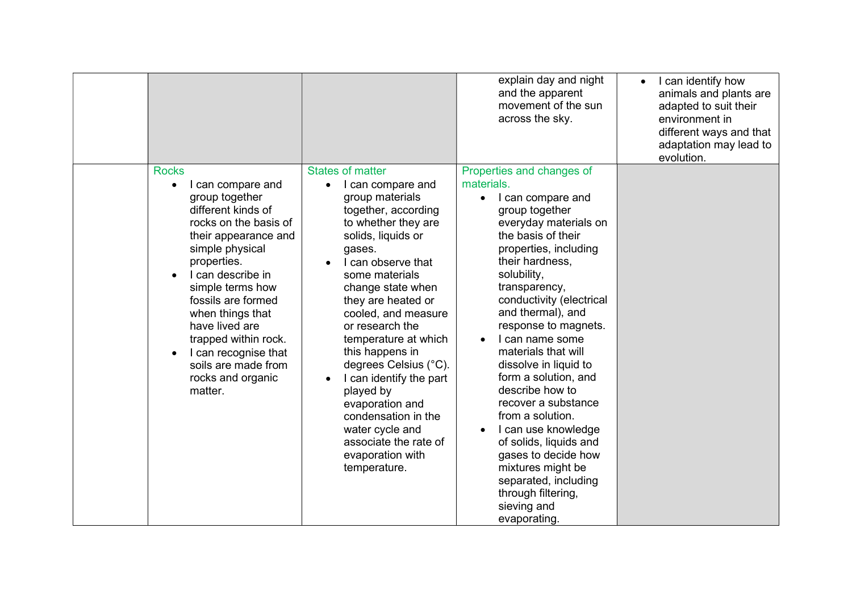|                                                                                                                                                                                                                                                                                                                                                                          |                                                                                                                                                                                                                                                                                                                                                                                                                                                                                                                               | explain day and night<br>and the apparent<br>movement of the sun<br>across the sky.                                                                                                                                                                                                                                                                                                                                                                                                                                                                                                                                              | can identify how<br>$\bullet$<br>animals and plants are<br>adapted to suit their<br>environment in<br>different ways and that<br>adaptation may lead to<br>evolution. |
|--------------------------------------------------------------------------------------------------------------------------------------------------------------------------------------------------------------------------------------------------------------------------------------------------------------------------------------------------------------------------|-------------------------------------------------------------------------------------------------------------------------------------------------------------------------------------------------------------------------------------------------------------------------------------------------------------------------------------------------------------------------------------------------------------------------------------------------------------------------------------------------------------------------------|----------------------------------------------------------------------------------------------------------------------------------------------------------------------------------------------------------------------------------------------------------------------------------------------------------------------------------------------------------------------------------------------------------------------------------------------------------------------------------------------------------------------------------------------------------------------------------------------------------------------------------|-----------------------------------------------------------------------------------------------------------------------------------------------------------------------|
| <b>Rocks</b><br>I can compare and<br>group together<br>different kinds of<br>rocks on the basis of<br>their appearance and<br>simple physical<br>properties.<br>I can describe in<br>simple terms how<br>fossils are formed<br>when things that<br>have lived are<br>trapped within rock.<br>I can recognise that<br>soils are made from<br>rocks and organic<br>matter. | <b>States of matter</b><br>I can compare and<br>group materials<br>together, according<br>to whether they are<br>solids, liquids or<br>gases.<br>I can observe that<br>some materials<br>change state when<br>they are heated or<br>cooled, and measure<br>or research the<br>temperature at which<br>this happens in<br>degrees Celsius (°C).<br>I can identify the part<br>$\bullet$<br>played by<br>evaporation and<br>condensation in the<br>water cycle and<br>associate the rate of<br>evaporation with<br>temperature. | Properties and changes of<br>materials.<br>I can compare and<br>$\bullet$<br>group together<br>everyday materials on<br>the basis of their<br>properties, including<br>their hardness,<br>solubility,<br>transparency,<br>conductivity (electrical<br>and thermal), and<br>response to magnets.<br>can name some<br>materials that will<br>dissolve in liquid to<br>form a solution, and<br>describe how to<br>recover a substance<br>from a solution.<br>I can use knowledge<br>of solids, liquids and<br>gases to decide how<br>mixtures might be<br>separated, including<br>through filtering,<br>sieving and<br>evaporating. |                                                                                                                                                                       |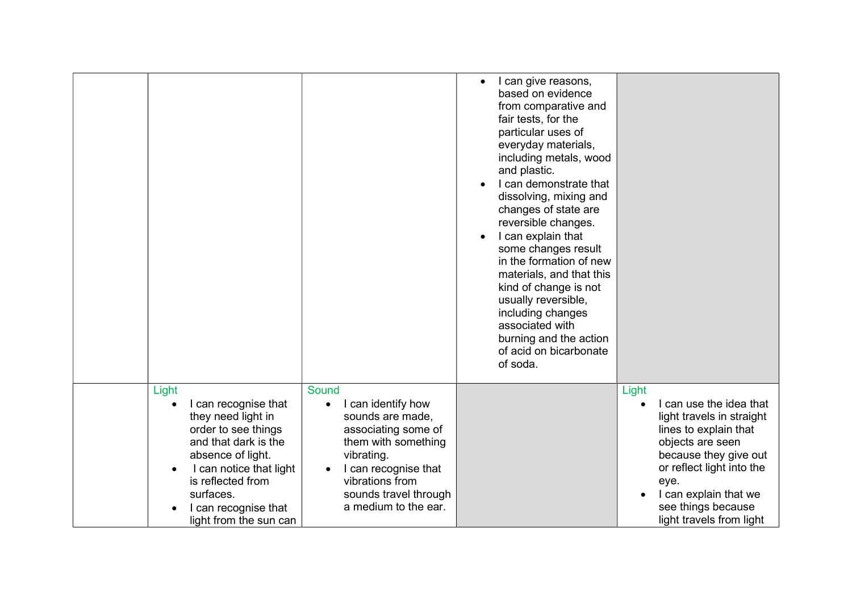|                                                                                                                                                                                                                                        |                                                                                                                                                                                                         | I can give reasons,<br>$\bullet$<br>based on evidence<br>from comparative and<br>fair tests, for the<br>particular uses of<br>everyday materials,<br>including metals, wood<br>and plastic.<br>I can demonstrate that<br>dissolving, mixing and<br>changes of state are<br>reversible changes.<br>I can explain that<br>some changes result<br>in the formation of new<br>materials, and that this<br>kind of change is not<br>usually reversible,<br>including changes<br>associated with<br>burning and the action<br>of acid on bicarbonate<br>of soda. |                                                                                                                                                                                                                                                                  |
|----------------------------------------------------------------------------------------------------------------------------------------------------------------------------------------------------------------------------------------|---------------------------------------------------------------------------------------------------------------------------------------------------------------------------------------------------------|------------------------------------------------------------------------------------------------------------------------------------------------------------------------------------------------------------------------------------------------------------------------------------------------------------------------------------------------------------------------------------------------------------------------------------------------------------------------------------------------------------------------------------------------------------|------------------------------------------------------------------------------------------------------------------------------------------------------------------------------------------------------------------------------------------------------------------|
| Light<br>I can recognise that<br>they need light in<br>order to see things<br>and that dark is the<br>absence of light.<br>I can notice that light<br>is reflected from<br>surfaces.<br>I can recognise that<br>light from the sun can | Sound<br>I can identify how<br>sounds are made,<br>associating some of<br>them with something<br>vibrating.<br>I can recognise that<br>vibrations from<br>sounds travel through<br>a medium to the ear. |                                                                                                                                                                                                                                                                                                                                                                                                                                                                                                                                                            | Light<br>I can use the idea that<br>$\bullet$<br>light travels in straight<br>lines to explain that<br>objects are seen<br>because they give out<br>or reflect light into the<br>eye.<br>I can explain that we<br>see things because<br>light travels from light |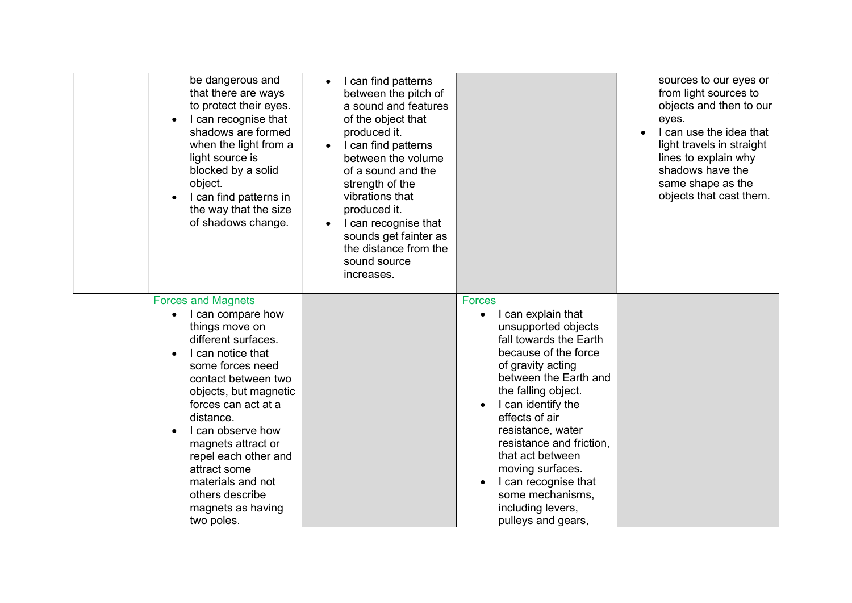| be dangerous and<br>that there are ways<br>to protect their eyes.<br>I can recognise that<br>shadows are formed<br>when the light from a<br>light source is<br>blocked by a solid<br>object.<br>I can find patterns in<br>the way that the size<br>of shadows change.                                                                                                                           | I can find patterns<br>$\bullet$<br>between the pitch of<br>a sound and features<br>of the object that<br>produced it.<br>I can find patterns<br>between the volume<br>of a sound and the<br>strength of the<br>vibrations that<br>produced it.<br>I can recognise that<br>sounds get fainter as<br>the distance from the<br>sound source<br>increases. |                                                                                                                                                                                                                                                                                                                                                                                                           | sources to our eyes or<br>from light sources to<br>objects and then to our<br>eyes.<br>I can use the idea that<br>light travels in straight<br>lines to explain why<br>shadows have the<br>same shape as the<br>objects that cast them. |
|-------------------------------------------------------------------------------------------------------------------------------------------------------------------------------------------------------------------------------------------------------------------------------------------------------------------------------------------------------------------------------------------------|---------------------------------------------------------------------------------------------------------------------------------------------------------------------------------------------------------------------------------------------------------------------------------------------------------------------------------------------------------|-----------------------------------------------------------------------------------------------------------------------------------------------------------------------------------------------------------------------------------------------------------------------------------------------------------------------------------------------------------------------------------------------------------|-----------------------------------------------------------------------------------------------------------------------------------------------------------------------------------------------------------------------------------------|
| <b>Forces and Magnets</b><br>I can compare how<br>things move on<br>different surfaces.<br>I can notice that<br>$\bullet$<br>some forces need<br>contact between two<br>objects, but magnetic<br>forces can act at a<br>distance.<br>I can observe how<br>magnets attract or<br>repel each other and<br>attract some<br>materials and not<br>others describe<br>magnets as having<br>two poles. |                                                                                                                                                                                                                                                                                                                                                         | <b>Forces</b><br>I can explain that<br>unsupported objects<br>fall towards the Earth<br>because of the force<br>of gravity acting<br>between the Earth and<br>the falling object.<br>I can identify the<br>effects of air<br>resistance, water<br>resistance and friction,<br>that act between<br>moving surfaces.<br>I can recognise that<br>some mechanisms,<br>including levers,<br>pulleys and gears, |                                                                                                                                                                                                                                         |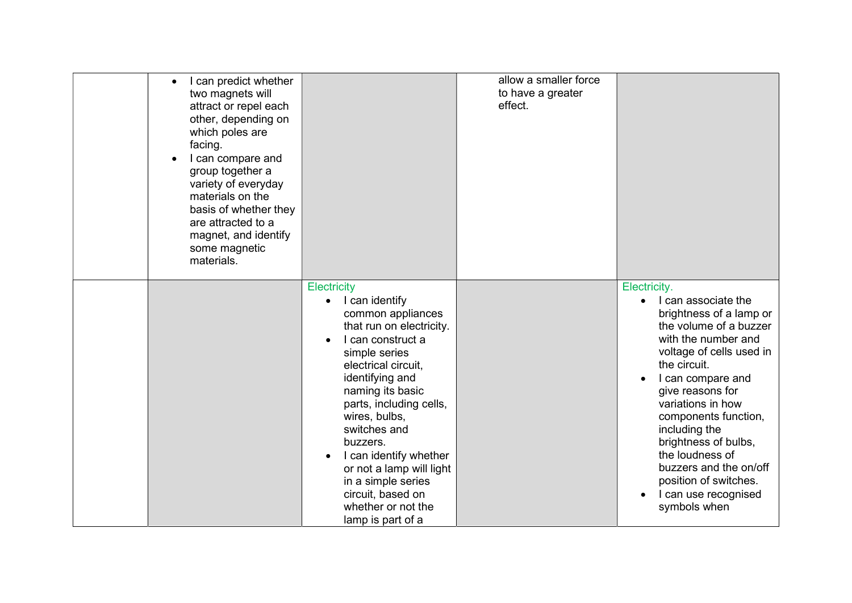| I can predict whether<br>$\bullet$<br>two magnets will<br>attract or repel each<br>other, depending on<br>which poles are<br>facing.<br>I can compare and<br>$\bullet$<br>group together a<br>variety of everyday<br>materials on the<br>basis of whether they<br>are attracted to a<br>magnet, and identify<br>some magnetic<br>materials. |                                                                                                                                                                                                                                                                                                                                                                                                                            | allow a smaller force<br>to have a greater<br>effect. |                                                                                                                                                                                                                                                                                                                                                                                                                                    |
|---------------------------------------------------------------------------------------------------------------------------------------------------------------------------------------------------------------------------------------------------------------------------------------------------------------------------------------------|----------------------------------------------------------------------------------------------------------------------------------------------------------------------------------------------------------------------------------------------------------------------------------------------------------------------------------------------------------------------------------------------------------------------------|-------------------------------------------------------|------------------------------------------------------------------------------------------------------------------------------------------------------------------------------------------------------------------------------------------------------------------------------------------------------------------------------------------------------------------------------------------------------------------------------------|
|                                                                                                                                                                                                                                                                                                                                             | <b>Electricity</b><br>I can identify<br>$\bullet$<br>common appliances<br>that run on electricity.<br>I can construct a<br>simple series<br>electrical circuit,<br>identifying and<br>naming its basic<br>parts, including cells,<br>wires, bulbs,<br>switches and<br>buzzers.<br>I can identify whether<br>or not a lamp will light<br>in a simple series<br>circuit, based on<br>whether or not the<br>lamp is part of a |                                                       | Electricity.<br>I can associate the<br>$\bullet$<br>brightness of a lamp or<br>the volume of a buzzer<br>with the number and<br>voltage of cells used in<br>the circuit.<br>I can compare and<br>give reasons for<br>variations in how<br>components function,<br>including the<br>brightness of bulbs,<br>the loudness of<br>buzzers and the on/off<br>position of switches.<br>I can use recognised<br>$\bullet$<br>symbols when |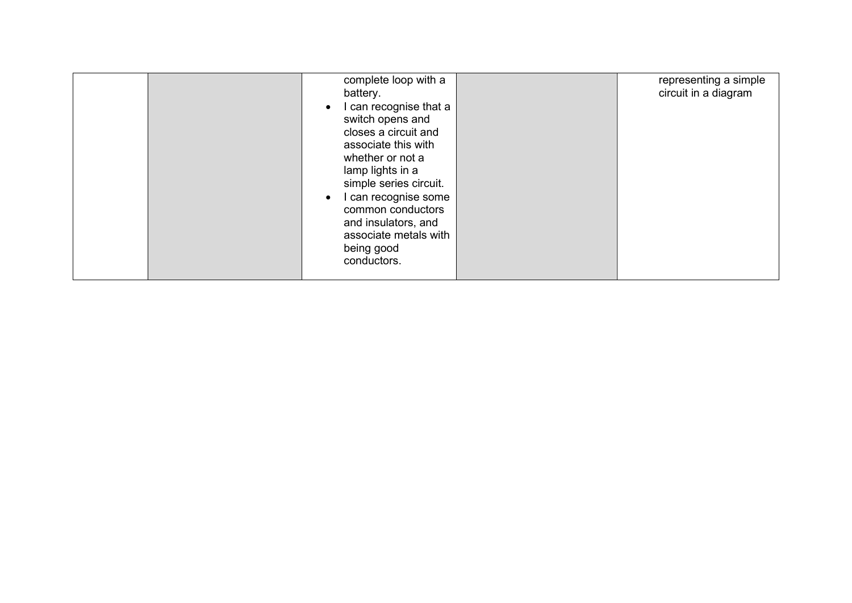|  | complete loop with a<br>battery.<br>I can recognise that a<br>switch opens and<br>closes a circuit and<br>associate this with<br>whether or not a<br>lamp lights in a<br>simple series circuit.<br>I can recognise some<br>common conductors<br>and insulators, and<br>associate metals with<br>being good<br>conductors. |  | representing a simple<br>circuit in a diagram |
|--|---------------------------------------------------------------------------------------------------------------------------------------------------------------------------------------------------------------------------------------------------------------------------------------------------------------------------|--|-----------------------------------------------|
|--|---------------------------------------------------------------------------------------------------------------------------------------------------------------------------------------------------------------------------------------------------------------------------------------------------------------------------|--|-----------------------------------------------|